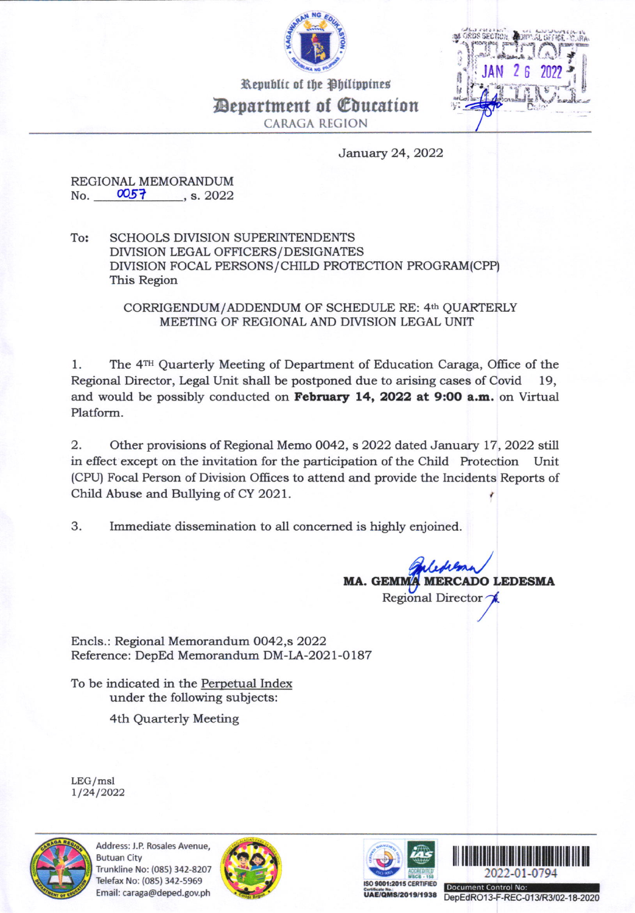

Republic of the Philippines *<u>Department of Coucation</u>* **CARAGA REGION** 

January 24, 2022

REGIONAL MEMORANDUM No. 0057, s. 2022

To: **SCHOOLS DIVISION SUPERINTENDENTS** DIVISION LEGAL OFFICERS/DESIGNATES DIVISION FOCAL PERSONS/CHILD PROTECTION PROGRAM(CPP) This Region

> CORRIGENDUM/ADDENDUM OF SCHEDULE RE: 4th OUARTERLY MEETING OF REGIONAL AND DIVISION LEGAL UNIT

 $1.$ The 4<sup>TH</sup> Quarterly Meeting of Department of Education Caraga, Office of the Regional Director, Legal Unit shall be postponed due to arising cases of Covid 19, and would be possibly conducted on February 14, 2022 at 9:00 a.m. on Virtual Platform.

2. Other provisions of Regional Memo 0042, s 2022 dated January 17, 2022 still in effect except on the invitation for the participation of the Child Protection Unit (CPU) Focal Person of Division Offices to attend and provide the Incidents Reports of Child Abuse and Bullying of CY 2021.

3. Immediate dissemination to all concerned is highly enjoined.

> MA. GEMM **MERCADO LEDESMA** Regional Director

Encls.: Regional Memorandum 0042,s 2022 Reference: DepEd Memorandum DM-LA-2021-0187

To be indicated in the Perpetual Index under the following subjects:

4th Quarterly Meeting

 $LEG/msl$ 1/24/2022



Address: J.P. Rosales Avenue, **Butuan City** Trunkline No: (085) 342-8207 Telefax No: (085) 342-5969 Email: caraga@deped.gov.ph







**UAE/QMS/2019/1938** 

DepEdRO13-F-REC-013/R3/02-18-2020